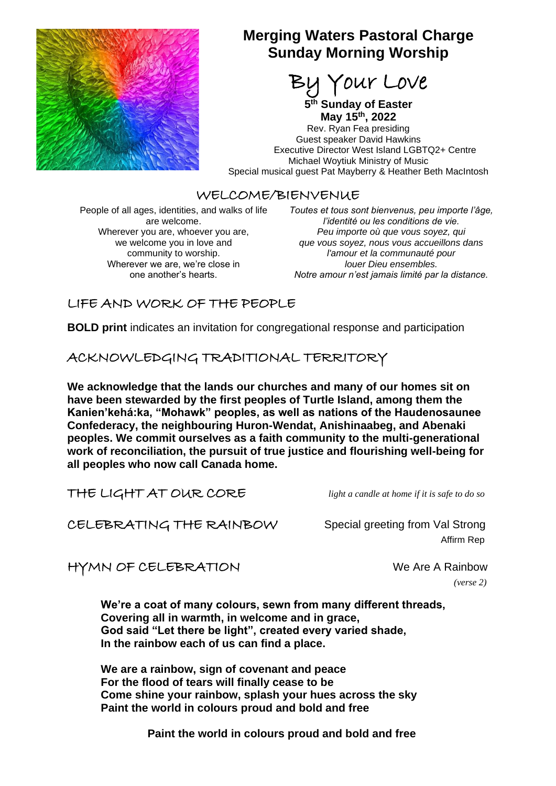

# **Merging Waters Pastoral Charge Sunday Morning Worship**

our Love

**5 th Sunday of Easter May 15th, 2022**

Rev. Ryan Fea presiding Guest speaker David Hawkins Executive Director West Island LGBTQ2+ Centre Michael Woytiuk Ministry of Music Special musical guest Pat Mayberry & Heather Beth MacIntosh

### WELCOME/BIENVENUE

People of all ages, identities, and walks of life are welcome. Wherever you are, whoever you are, we welcome you in love and community to worship. Wherever we are, we're close in one another's hearts.

*Toutes et tous sont bienvenus, peu importe l'âge, l'identité ou les conditions de vie. Peu importe où que vous soyez, qui que vous soyez, nous vous accueillons dans l'amour et la communauté pour louer Dieu ensembles. Notre amour n'est jamais limité par la distance.*

## LIFE AND WORK OF THE PEOPLE

**BOLD print** indicates an invitation for congregational response and participation

ACKNOWLEDGING TRADITIONAL TERRITORY

**We acknowledge that the lands our churches and many of our homes sit on have been stewarded by the first peoples of Turtle Island, among them the Kanien'kehá:ka, "Mohawk" peoples, as well as nations of the Haudenosaunee Confederacy, the neighbouring Huron-Wendat, Anishinaabeg, and Abenaki peoples. We commit ourselves as a faith community to the multi-generational work of reconciliation, the pursuit of true justice and flourishing well-being for all peoples who now call Canada home.**

THE LIGHT AT OUR CORE *light a candle at home if it is safe to do so*

CELEBRATING THE RAINBOW Special greeting from Val Strong

Affirm Rep

HYMN OF CELEBRATION We Are A Rainbow

*(verse 2)*

**We're a coat of many colours, sewn from many different threads, Covering all in warmth, in welcome and in grace, God said "Let there be light", created every varied shade, In the rainbow each of us can find a place.**

**We are a rainbow, sign of covenant and peace For the flood of tears will finally cease to be Come shine your rainbow, splash your hues across the sky Paint the world in colours proud and bold and free**

 **Paint the world in colours proud and bold and free**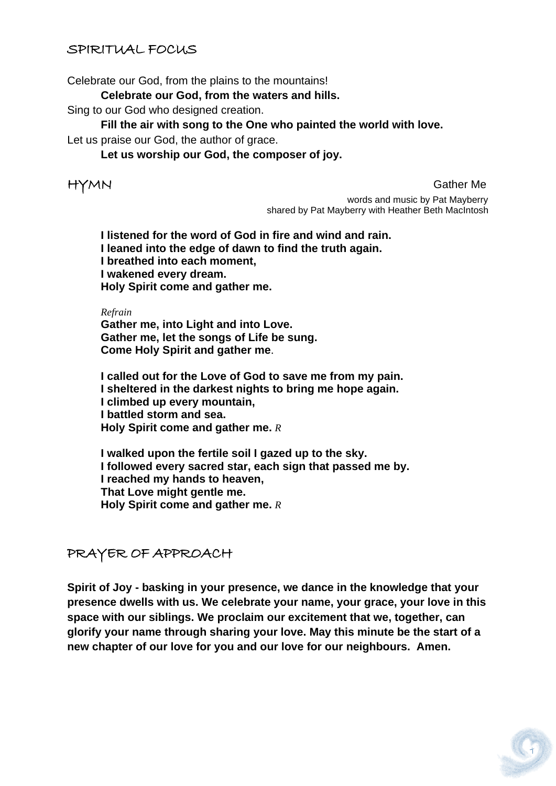## SPIRITUAL FOCUS

Celebrate our God, from the plains to the mountains!

**Celebrate our God, from the waters and hills.**

Sing to our God who designed creation.

**Fill the air with song to the One who painted the world with love.**

Let us praise our God, the author of grace.

**Let us worship our God, the composer of joy.**

HYMN Gather Me

 words and music by Pat Mayberry shared by Pat Mayberry with Heather Beth MacIntosh

**I listened for the word of God in fire and wind and rain. I leaned into the edge of dawn to find the truth again. I breathed into each moment, I wakened every dream. Holy Spirit come and gather me.**

*Refrain*

**Gather me, into Light and into Love. Gather me, let the songs of Life be sung. Come Holy Spirit and gather me**.

**I called out for the Love of God to save me from my pain. I sheltered in the darkest nights to bring me hope again. I climbed up every mountain, I battled storm and sea. Holy Spirit come and gather me.** *R*

**I walked upon the fertile soil I gazed up to the sky. I followed every sacred star, each sign that passed me by. I reached my hands to heaven, That Love might gentle me. Holy Spirit come and gather me.** *R*

PRAYER OF APPROACH

**Spirit of Joy - basking in your presence, we dance in the knowledge that your presence dwells with us. We celebrate your name, your grace, your love in this space with our siblings. We proclaim our excitement that we, together, can glorify your name through sharing your love. May this minute be the start of a new chapter of our love for you and our love for our neighbours. Amen.**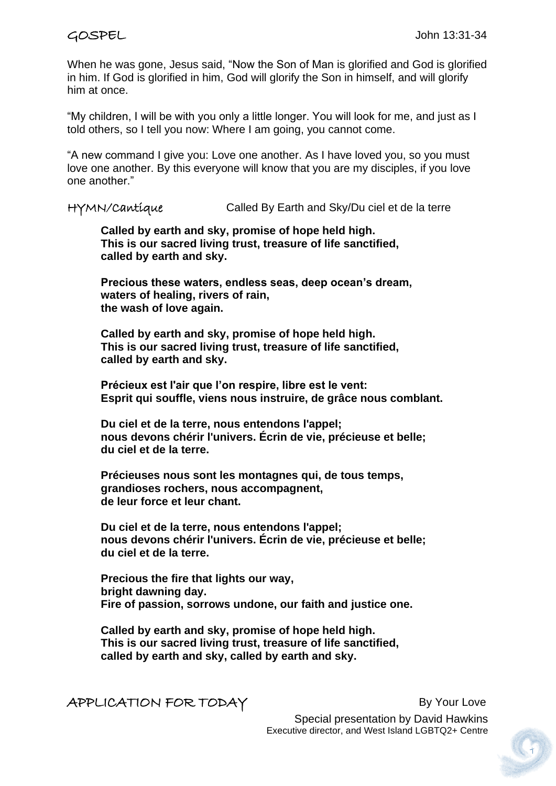When he was gone, Jesus said, "Now the Son of Man is glorified and God is glorified in him. If God is glorified in him, God will glorify the Son in himself, and will glorify him at once.

"My children, I will be with you only a little longer. You will look for me, and just as I told others, so I tell you now: Where I am going, you cannot come.

"A new command I give you: Love one another. As I have loved you, so you must love one another. By this everyone will know that you are my disciples, if you love one another."

HYMN/Cantique Called By Earth and Sky/Du ciel et de la terre

**Called by earth and sky, promise of hope held high. This is our sacred living trust, treasure of life sanctified, called by earth and sky.**

**Precious these waters, endless seas, deep ocean's dream, waters of healing, rivers of rain, the wash of love again.** 

**Called by earth and sky, promise of hope held high. This is our sacred living trust, treasure of life sanctified, called by earth and sky.**

**Précieux est l'air que l'on respire, libre est le vent: Esprit qui souffle, viens nous instruire, de grâce nous comblant.**

**Du ciel et de la terre, nous entendons l'appel; nous devons chérir l'univers. Écrin de vie, précieuse et belle; du ciel et de la terre.**

**Précieuses nous sont les montagnes qui, de tous temps, grandioses rochers, nous accompagnent, de leur force et leur chant.**

**Du ciel et de la terre, nous entendons l'appel; nous devons chérir l'univers. Écrin de vie, précieuse et belle; du ciel et de la terre.**

**Precious the fire that lights our way, bright dawning day. Fire of passion, sorrows undone, our faith and justice one.**

**Called by earth and sky, promise of hope held high. This is our sacred living trust, treasure of life sanctified, called by earth and sky, called by earth and sky.**

APPLICATION FOR TODAY By Your Love

 Special presentation by David Hawkins Executive director, and West Island LGBTQ2+ Centre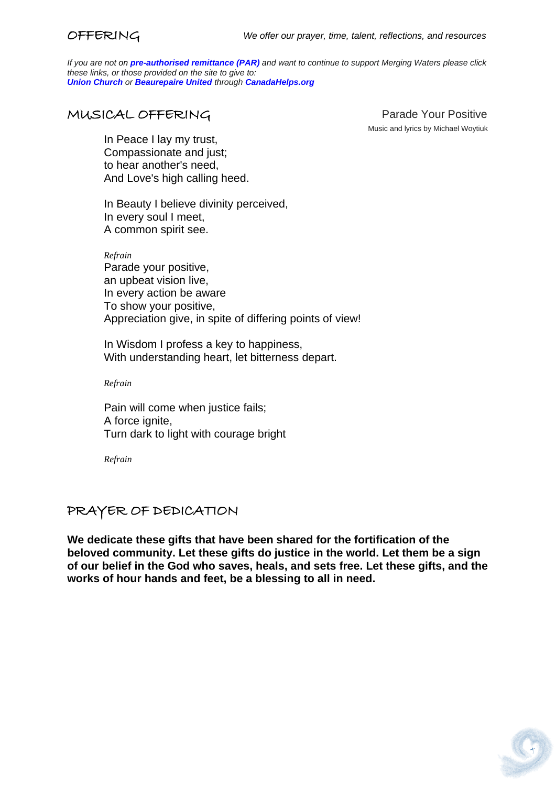*If you are not on pre-authorised [remittance \(PAR\)](http://mergingwaters.ca/mt-content/uploads/2020/03/form_par-authorization.pdf) and want to continue to support Merging Waters please click these links, or those provided on the site to give to: [Union Church](https://www.canadahelps.org/en/charities/union-church-ste-anne-de-bellevue/) or [Beaurepaire United](https://www.canadahelps.org/en/charities/beaurepaire-united-church/) through [CanadaHelps.org](http://www.canadahelps.org/)*

# MUSICAL OFFERING Parade Your Positive

Music and lyrics by Michael Woytiuk

In Peace I lay my trust, Compassionate and just; to hear another's need, And Love's high calling heed.

In Beauty I believe divinity perceived, In every soul I meet, A common spirit see.

*Refrain* Parade your positive, an upbeat vision live, In every action be aware To show your positive, Appreciation give, in spite of differing points of view!

In Wisdom I profess a key to happiness, With understanding heart, let bitterness depart.

*Refrain*

Pain will come when justice fails; A force ignite, Turn dark to light with courage bright

*Refrain*

# PRAYER OF DEDICATION

**We dedicate these gifts that have been shared for the fortification of the beloved community. Let these gifts do justice in the world. Let them be a sign of our belief in the God who saves, heals, and sets free. Let these gifts, and the works of hour hands and feet, be a blessing to all in need.**

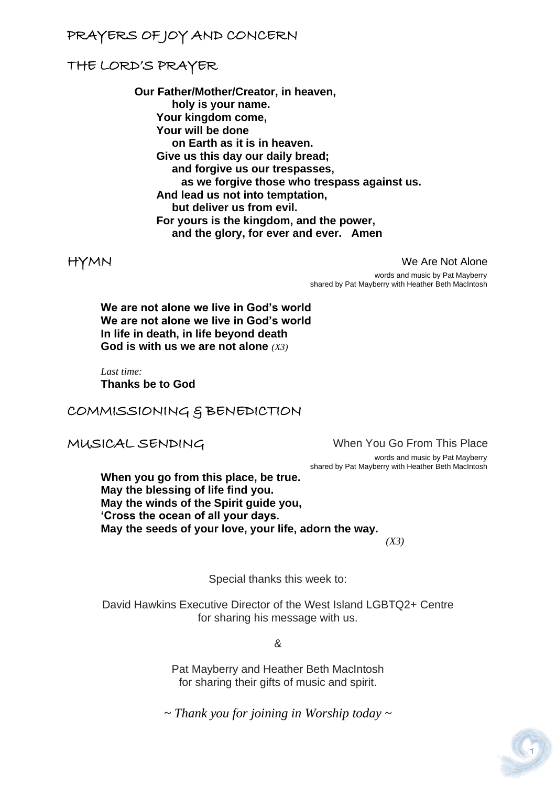# PRAYERS OF JOY AND CONCERN

## THE LORD'S PRAYER

**Our Father/Mother/Creator, in heaven, holy is your name. Your kingdom come, Your will be done on Earth as it is in heaven. Give us this day our daily bread; and forgive us our trespasses, as we forgive those who trespass against us. And lead us not into temptation, but deliver us from evil. For yours is the kingdom, and the power, and the glory, for ever and ever. Amen**

HYMN We Are Not Alone

 words and music by Pat Mayberry shared by Pat Mayberry with Heather Beth MacIntosh

**We are not alone we live in God's world We are not alone we live in God's world In life in death, in life beyond death God is with us we are not alone** *(X3)*

*Last time:* **Thanks be to God**

COMMISSIONING & BENEDICTION

MUSICAL SENDINGWhen You Go From This Place

 words and music by Pat Mayberry shared by Pat Mayberry with Heather Beth MacIntosh

**When you go from this place, be true. May the blessing of life find you. May the winds of the Spirit guide you, 'Cross the ocean of all your days. May the seeds of your love, your life, adorn the way.**  *(X3)*

Special thanks this week to:

David Hawkins Executive Director of the West Island LGBTQ2+ Centre for sharing his message with us.

&

Pat Mayberry and Heather Beth MacIntosh for sharing their gifts of music and spirit.

*~ Thank you for joining in Worship today ~*

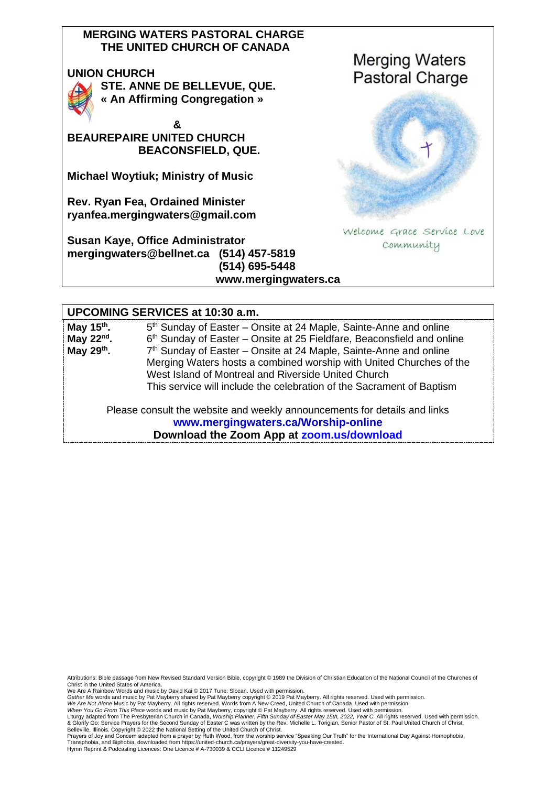#### **MERGING WATERS PASTORAL CHARGE THE UNITED CHURCH OF CANADA**

#### **UNION CHURCH**



**STE. ANNE DE BELLEVUE, QUE. « An Affirming Congregation »** 

 **& BEAUREPAIRE UNITED CHURCH BEACONSFIELD, QUE.**

**Michael Woytiuk; Ministry of Music**

**Rev. Ryan Fea, Ordained Minister [ryanfea.mergingwaters@gmail.com](mailto:ryanfea.mergingwaters@gmail.com)** 

**Susan Kaye, Office Administrator [mergingwaters@bellnet.ca](mailto:mergingwaters@bellnet.ca) (514) 457-5819 (514) 695-5448 [www.mergingwaters.ca](http://www.mergingwaters.ca/)**



#### **UPCOMING SERVICES at 10:30 a.m.**

| May 15 <sup>th</sup> . | 5 <sup>th</sup> Sunday of Easter – Onsite at 24 Maple, Sainte-Anne and online |
|------------------------|-------------------------------------------------------------------------------|
| May $22nd$ .           | 6th Sunday of Easter – Onsite at 25 Fieldfare, Beaconsfield and online        |
| May $29th$ .           | 7 <sup>th</sup> Sunday of Easter – Onsite at 24 Maple, Sainte-Anne and online |
|                        | Merging Waters hosts a combined worship with United Churches of the           |
|                        | West Island of Montreal and Riverside United Church                           |
|                        | This service will include the celebration of the Sacrament of Baptism         |
|                        |                                                                               |

Please consult the website and weekly announcements for details and links **[www.mergingwaters.ca/Worship-online](http://www.mergingwaters.ca/Worship-online) Download the Zoom App at [zoom.us/download](file:///C:/Users/Merging%20Waters%20Rev/Downloads/past%20services/Sept%2020th%202020/zoom.us/download)**

Attributions: Bible passage from New Revised Standard Version Bible, copyright © 1989 the Division of Christian Education of the National Council of the Churches of Christ in the United States of America.

We Are A Rainbow Words and music by David Kai © 2017 Tune: Slocan. Used with permission.<br>*Gather Me* words and music by Pat Mayberry shared by Pat Mayberry copyright © 2019 Pat Mayberry. All rights reserved. Used with per

We Are Not Alone Music by Pat Mayberry. All rights reserved. Words from A New Creed, United Church of Canada. Used with permission.<br>When You Go From This Place words and music by Pat Mayberry, copyright © Pat Mayberry. All

Prayers of Joy and Concern adapted from a prayer by Ruth Wood, from the worship service "Speaking Our Truth" for the [International Day Against Homophobia,](http://www.united-church.ca/worship-special-days/international-day-against-homophobia-transphobia-and-biphobia)  [Transphobia, and Biphobia,](http://www.united-church.ca/worship-special-days/international-day-against-homophobia-transphobia-and-biphobia) downloaded from https://united-church.ca/prayers/great-diversity-you-have-created. Hymn Reprint & Podcasting Licences: One Licence # A-730039 & CCLI Licence # 11249529

Liturgy adapted from The Presbyterian Church in Canada, *Worship Planner, Fifth Sunday of Easter May 15th, 2022, Year C.* All rights reserved. Used with permission.<br>& Glorify Go: Service Prayers for the Second Sunday of Ea Belleville, Illinois. Copyright © 2022 the National Setting of the United Church of Christ.